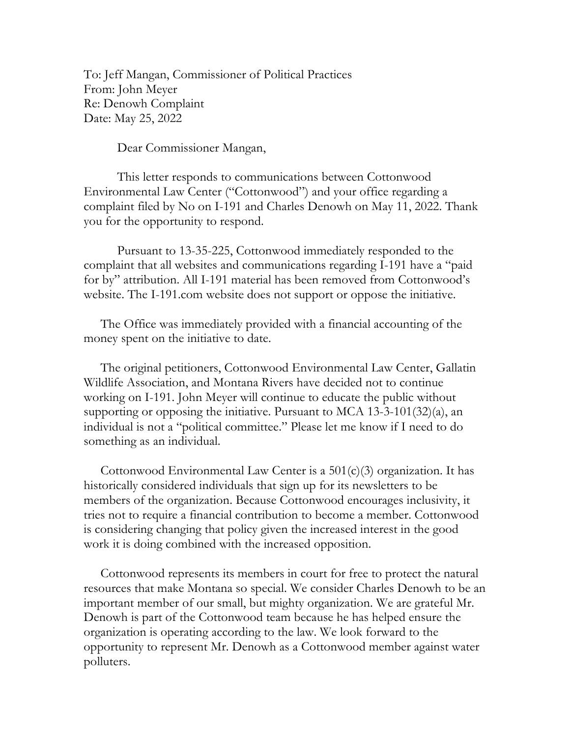To: Jeff Mangan, Commissioner of Political Practices From: John Meyer Re: Denowh Complaint Date: May 25, 2022

Dear Commissioner Mangan,

This letter responds to communications between Cottonwood Environmental Law Center ("Cottonwood") and your office regarding a complaint filed by No on I-191 and Charles Denowh on May 11, 2022. Thank you for the opportunity to respond.

Pursuant to 13-35-225, Cottonwood immediately responded to the complaint that all websites and communications regarding I-191 have a "paid for by" attribution. All I-191 material has been removed from Cottonwood's website. The I-191.com website does not support or oppose the initiative.

The Office was immediately provided with a financial accounting of the money spent on the initiative to date.

The original petitioners, Cottonwood Environmental Law Center, Gallatin Wildlife Association, and Montana Rivers have decided not to continue working on I-191. John Meyer will continue to educate the public without supporting or opposing the initiative. Pursuant to MCA 13-3-101(32)(a), an individual is not a "political committee." Please let me know if I need to do something as an individual.

Cottonwood Environmental Law Center is a  $501(c)(3)$  organization. It has historically considered individuals that sign up for its newsletters to be members of the organization. Because Cottonwood encourages inclusivity, it tries not to require a financial contribution to become a member. Cottonwood is considering changing that policy given the increased interest in the good work it is doing combined with the increased opposition.

Cottonwood represents its members in court for free to protect the natural resources that make Montana so special. We consider Charles Denowh to be an important member of our small, but mighty organization. We are grateful Mr. Denowh is part of the Cottonwood team because he has helped ensure the organization is operating according to the law. We look forward to the opportunity to represent Mr. Denowh as a Cottonwood member against water polluters.